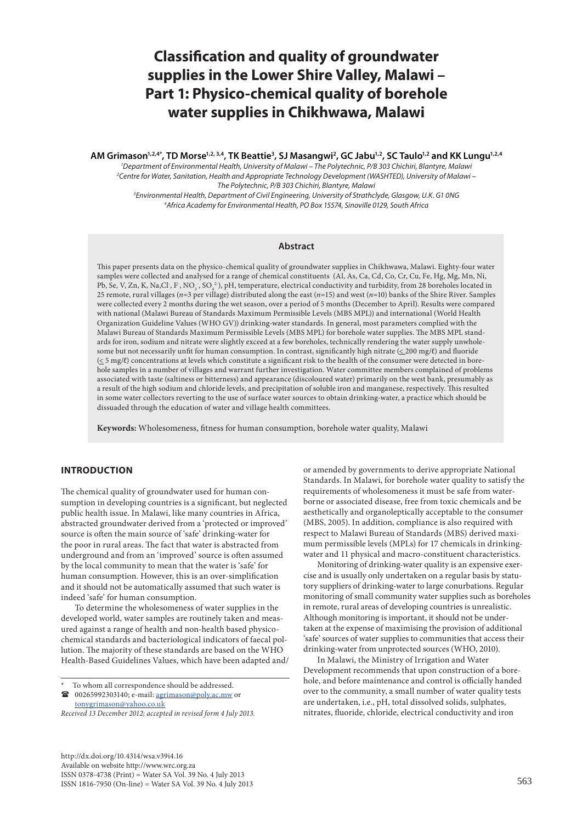# **Classification and quality of groundwater supplies in the Lower Shire Valley, Malawi – Part 1: Physico-chemical quality of borehole water supplies in Chikhwawa, Malawi**

AM Grimason<sup>1,2,4</sup>\*, TD Morse<sup>1,2, 3,4</sup>, TK Beattie<sup>3</sup>, SJ Masangwi<sup>2</sup>, GC Jabu<sup>1,2</sup>, SC Taulo<sup>1,2</sup> and KK Lungu<sup>1,2,4</sup>

 *Department of Environmental Health, University of Malawi – The Polytechnic, P/B 303 Chichiri, Blantyre, Malawi Centre for Water, Sanitation, Health and Appropriate Technology Development (WASHTED), University of Malawi – The Polytechnic, P/B 303 Chichiri, Blantyre, Malawi Environmental Health, Department of Civil Engineering, University of Strathclyde, Glasgow, U.K. G1 0NG*

*4 Africa Academy for Environmental Health, PO Box 15574, Sinoville 0129, South Africa*

# **Abstract**

This paper presents data on the physico-chemical quality of groundwater supplies in Chikhwawa, Malawi. Eighty-four water samples were collected and analysed for a range of chemical constituents (Al, As, Ca, Cd, Co, Cr, Cu, Fe, Hg, Mg, Mn, Ni, Pb, Se, V, Zn, K, Na,Cl<sup>-</sup>, F<sup>-</sup>, NO<sub>3</sub><sup>-</sup>, SO<sub>4</sub><sup>2</sup><sup>-</sup>), pH, temperature, electrical conductivity and turbidity, from 28 boreholes located in 25 remote, rural villages (*n*=3 per village) distributed along the east (*n*=15) and west (*n*=10) banks of the Shire River. Samples were collected every 2 months during the wet season, over a period of 5 months (December to April). Results were compared with national (Malawi Bureau of Standards Maximum Permissible Levels (MBS MPL)) and international (World Health Organization Guideline Values (WHO GV)) drinking-water standards. In general, most parameters complied with the Malawi Bureau of Standards Maximum Permissible Levels (MBS MPL) for borehole water supplies. The MBS MPL standards for iron, sodium and nitrate were slightly exceed at a few boreholes, technically rendering the water supply unwholesome but not necessarily unfit for human consumption. In contrast, significantly high nitrate ( $\leq$  200 mg/ℓ) and fluoride  $(\leq 5 \text{ mg}/\ell)$  concentrations at levels which constitute a significant risk to the health of the consumer were detected in borehole samples in a number of villages and warrant further investigation. Water committee members complained of problems associated with taste (saltiness or bitterness) and appearance (discoloured water) primarily on the west bank, presumably as a result of the high sodium and chloride levels, and precipitation of soluble iron and manganese, respectively. This resulted in some water collectors reverting to the use of surface water sources to obtain drinking-water, a practice which should be dissuaded through the education of water and village health committees.

**Keywords:** Wholesomeness, fitness for human consumption, borehole water quality, Malawi

## **INTRODUCTION**

The chemical quality of groundwater used for human consumption in developing countries is a significant, but neglected public health issue. In Malawi, like many countries in Africa, abstracted groundwater derived from a 'protected or improved' source is often the main source of 'safe' drinking-water for the poor in rural areas. The fact that water is abstracted from underground and from an 'improved' source is often assumed by the local community to mean that the water is 'safe' for human consumption. However, this is an over-simplification and it should not be automatically assumed that such water is indeed 'safe' for human consumption.

To determine the wholesomeness of water supplies in the developed world, water samples are routinely taken and measured against a range of health and non-health based physicochemical standards and bacteriological indicators of faecal pollution. The majority of these standards are based on the WHO Health-Based Guidelines Values, which have been adapted and/

To whom all correspondence should be addressed. <sup>2</sup> 00265992303140; e-mail: [agrimason@poly.ac.mw](mailto:agrimason@poly.ac.mw) or tonygrimason@yahoo.co.uk

*Received 13 December 2012; accepted in revised form 4 July 2013.*

requirements of wholesomeness it must be safe from waterborne or associated disease, free from toxic chemicals and be aesthetically and organoleptically acceptable to the consumer (MBS, 2005). In addition, compliance is also required with respect to Malawi Bureau of Standards (MBS) derived maximum permissible levels (MPLs) for 17 chemicals in drinkingwater and 11 physical and macro-constituent characteristics. Monitoring of drinking-water quality is an expensive exercise and is usually only undertaken on a regular basis by statu-

or amended by governments to derive appropriate National Standards. In Malawi, for borehole water quality to satisfy the

tory suppliers of drinking-water to large conurbations. Regular monitoring of small community water supplies such as boreholes in remote, rural areas of developing countries is unrealistic. Although monitoring is important, it should not be undertaken at the expense of maximising the provision of additional 'safe' sources of water supplies to communities that access their drinking-water from unprotected sources (WHO, 2010).

In Malawi, the Ministry of Irrigation and Water Development recommends that upon construction of a borehole, and before maintenance and control is officially handed over to the community, a small number of water quality tests are undertaken, i.e., pH, total dissolved solids, sulphates, nitrates, fluoride, chloride, electrical conductivity and iron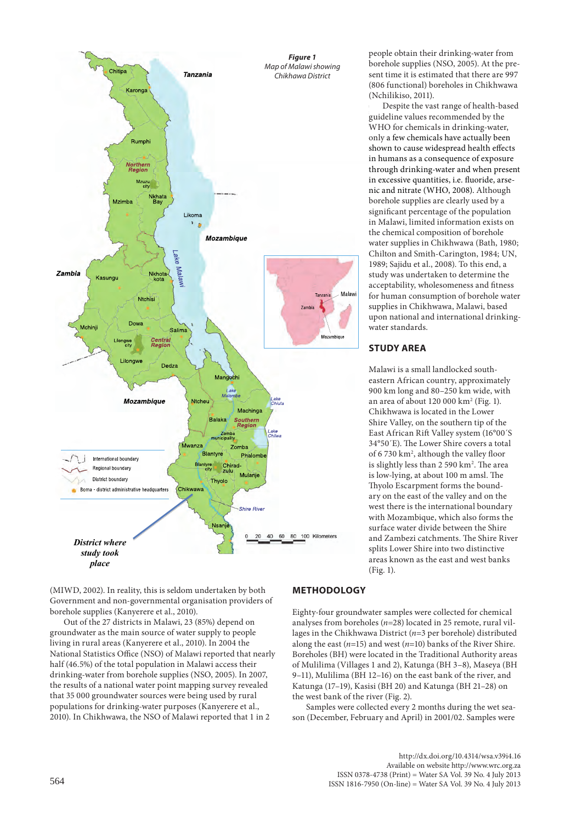

(MIWD, 2002). In reality, this is seldom undertaken by both Government and non-governmental organisation providers of borehole supplies (Kanyerere et al., 2010).

Out of the 27 districts in Malawi, 23 (85%) depend on groundwater as the main source of water supply to people living in rural areas (Kanyerere et al., 2010). In 2004 the National Statistics Office (NSO) of Malawi reported that nearly half (46.5%) of the total population in Malawi access their drinking-water from borehole supplies (NSO, 2005). In 2007, the results of a national water point mapping survey revealed that 35 000 groundwater sources were being used by rural populations for drinking-water purposes (Kanyerere et al., 2010). In Chikhwawa, the NSO of Malawi reported that 1 in 2

# **METHODOLOGY**

Eighty-four groundwater samples were collected for chemical analyses from boreholes (*n*=28) located in 25 remote, rural villages in the Chikhwawa District (*n*=3 per borehole) distributed along the east  $(n=15)$  and west  $(n=10)$  banks of the River Shire. Boreholes (BH) were located in the Traditional Authority areas of Mulilima (Villages 1 and 2), Katunga (BH 3–8), Maseya (BH 9-11), Mulilima (BH 12-16) on the east bank of the river, and Katunga (17–19), Kasisi (BH 20) and Katunga (BH 21–28) on the west bank of the river (Fig. 2).

Samples were collected every 2 months during the wet season (December, February and April) in 2001/02. Samples were

people obtain their drinking-water from borehole supplies (NSO, 2005). At the present time it is estimated that there are 997 (806 functional) boreholes in Chikhwawa (Nchilikiso, 2011).

Despite the vast range of health-based guideline values recommended by the WHO for chemicals in drinking-water, only a few chemicals have actually been shown to cause widespread health effects in humans as a consequence of exposure through drinking-water and when present in excessive quantities, i.e. fluoride, arsenic and nitrate (WHO, 2008). Although borehole supplies are clearly used by a significant percentage of the population in Malawi, limited information exists on the chemical composition of borehole water supplies in Chikhwawa (Bath, 1980; Chilton and Smith-Carington, 1984; UN, 1989; Sajidu et al., 2008). To this end, a study was undertaken to determine the acceptability, wholesomeness and fitness for human consumption of borehole water supplies in Chikhwawa, Malawi, based upon national and international drinkingwater standards.

# **STUDY AREA**

Malawi is a small landlocked southeastern African country, approximately 900 km long and 80–250 km wide, with an area of about 120 000 km2 (Fig. 1). Chikhwawa is located in the Lower Shire Valley, on the southern tip of the East African Rift Valley system (16°00´S 34°50´E). The Lower Shire covers a total of 6 730 km2 , although the valley floor is slightly less than 2 590 km<sup>2</sup>. The area is low-lying, at about 100 m amsl. The Thyolo Escarpment forms the boundary on the east of the valley and on the west there is the international boundary with Mozambique, which also forms the surface water divide between the Shire and Zambezi catchments. The Shire River splits Lower Shire into two distinctive areas known as the east and west banks (Fig. 1).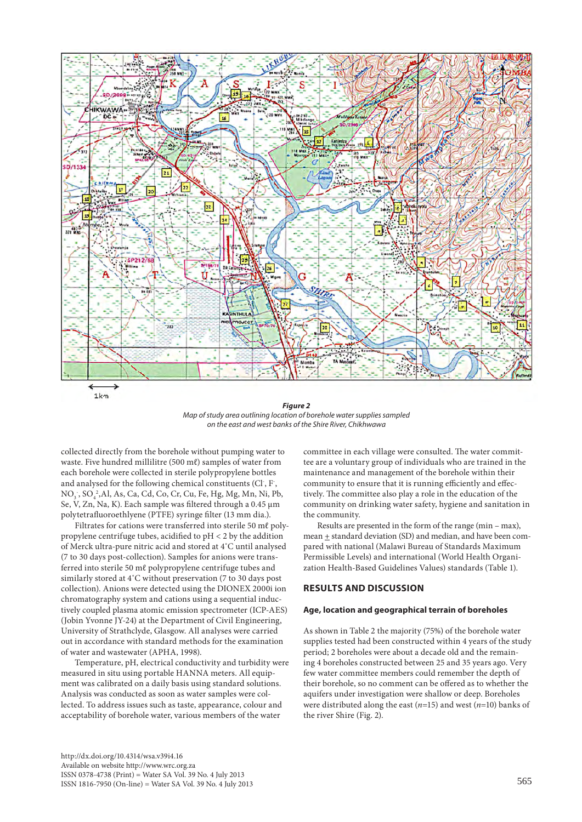

*Map of study area outlining location of borehole water supplies sampled on the east and west banks of the Shire River, Chikhwawa*

collected directly from the borehole without pumping water to waste. Five hundred millilitre (500 mℓ) samples of water from each borehole were collected in sterile polypropylene bottles and analysed for the following chemical constituents (Cl<sup>-</sup>, F<sup>-</sup>, NO<sub>3</sub>, SO<sub>4</sub><sup>2</sup>,Al, As, Ca, Cd, Co, Cr, Cu, Fe, Hg, Mg, Mn, Ni, Pb, Se, V, Zn, Na, K). Each sample was filtered through a  $0.45 \,\mu m$ polytetrafluoroethlyene (PTFE) syringe filter (13 mm dia.).

Filtrates for cations were transferred into sterile 50 mℓ polypropylene centrifuge tubes, acidified to pH < 2 by the addition of Merck ultra-pure nitric acid and stored at 4˚C until analysed (7 to 30 days post-collection). Samples for anions were transferred into sterile 50 mℓ polypropylene centrifuge tubes and similarly stored at 4˚C without preservation (7 to 30 days post collection). Anions were detected using the DIONEX 2000i ion chromatography system and cations using a sequential inductively coupled plasma atomic emission spectrometer (ICP-AES) (Jobin Yvonne JY-24) at the Department of Civil Engineering, University of Strathclyde, Glasgow. All analyses were carried out in accordance with standard methods for the examination of water and wastewater (APHA, 1998).

Temperature, pH, electrical conductivity and turbidity were measured in situ using portable HANNA meters. All equipment was calibrated on a daily basis using standard solutions. Analysis was conducted as soon as water samples were collected. To address issues such as taste, appearance, colour and acceptability of borehole water, various members of the water

http://dx.doi.org/10.4314/wsa.v39i4.16 Available on website http://www.wrc.org.za ISSN 0378-4738 (Print) = Water SA Vol. 39 No. 4 July 2013  $1811816-7950$  (On-line) = Water SA Vol. 39 No. 4 July 2013 565

committee in each village were consulted. The water committee are a voluntary group of individuals who are trained in the maintenance and management of the borehole within their community to ensure that it is running efficiently and effectively. The committee also play a role in the education of the community on drinking water safety, hygiene and sanitation in the community.

Results are presented in the form of the range (min – max), mean  $\pm$  standard deviation (SD) and median, and have been compared with national (Malawi Bureau of Standards Maximum Permissible Levels) and international (World Health Organization Health-Based Guidelines Values) standards (Table 1).

### **RESULTS AND DISCUSSION**

#### **Age, location and geographical terrain of boreholes**

As shown in Table 2 the majority (75%) of the borehole water supplies tested had been constructed within 4 years of the study period; 2 boreholes were about a decade old and the remaining 4 boreholes constructed between 25 and 35 years ago. Very few water committee members could remember the depth of their borehole, so no comment can be offered as to whether the aquifers under investigation were shallow or deep. Boreholes were distributed along the east (*n*=15) and west (*n*=10) banks of the river Shire (Fig. 2).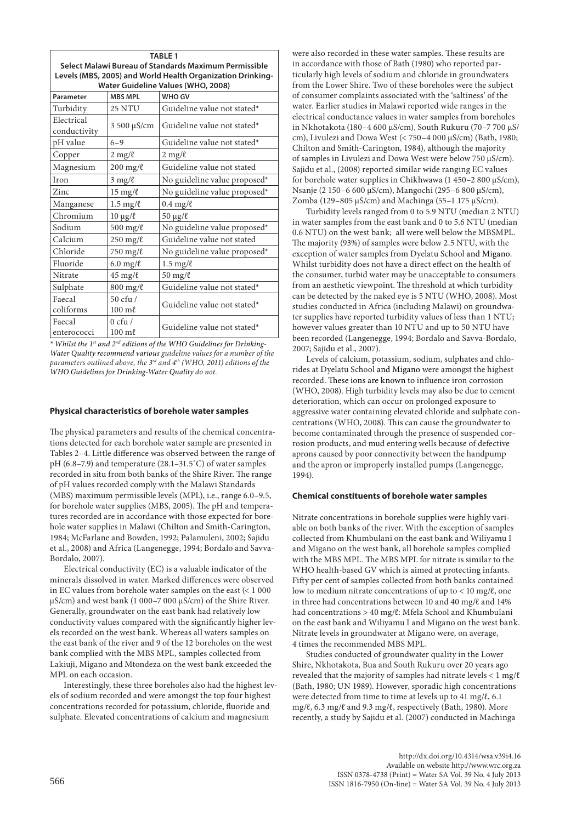| <b>TABLE 1</b>                                                                                                      |                       |                              |  |  |  |  |  |  |  |  |  |
|---------------------------------------------------------------------------------------------------------------------|-----------------------|------------------------------|--|--|--|--|--|--|--|--|--|
| Select Malawi Bureau of Standards Maximum Permissible<br>Levels (MBS, 2005) and World Health Organization Drinking- |                       |                              |  |  |  |  |  |  |  |  |  |
| Water Guideline Values (WHO, 2008)                                                                                  |                       |                              |  |  |  |  |  |  |  |  |  |
| Parameter                                                                                                           | <b>MBS MPL</b>        | <b>WHO GV</b>                |  |  |  |  |  |  |  |  |  |
| Turbidity                                                                                                           | 25 NTU                | Guideline value not stated*  |  |  |  |  |  |  |  |  |  |
| Electrical<br>conductivity                                                                                          | 3 500 μS/cm           | Guideline value not stated*  |  |  |  |  |  |  |  |  |  |
| pH value                                                                                                            | $6 - 9$               | Guideline value not stated*  |  |  |  |  |  |  |  |  |  |
| Copper                                                                                                              | $2 \text{ mg}/\ell$   | $2 \text{ mg}/\ell$          |  |  |  |  |  |  |  |  |  |
| Magnesium                                                                                                           | $200$ mg/ $\ell$      | Guideline value not stated   |  |  |  |  |  |  |  |  |  |
| Iron                                                                                                                | $3 \text{ mg}/\ell$   | No guideline value proposed* |  |  |  |  |  |  |  |  |  |
| Zinc                                                                                                                | $15 \text{ mg}/\ell$  | No guideline value proposed* |  |  |  |  |  |  |  |  |  |
| Manganese                                                                                                           | $1.5 \text{ mg}/\ell$ | $0.4$ mg/ $\ell$             |  |  |  |  |  |  |  |  |  |
| Chromium                                                                                                            | $10 \mu g/\ell$       | $50 \mu g/\ell$              |  |  |  |  |  |  |  |  |  |
| Sodium                                                                                                              | $500$ mg/ $\ell$      | No guideline value proposed* |  |  |  |  |  |  |  |  |  |
| Calcium                                                                                                             | 250 mg/l              | Guideline value not stated   |  |  |  |  |  |  |  |  |  |
| Chloride                                                                                                            | 750 mg/l              | No guideline value proposed* |  |  |  |  |  |  |  |  |  |
| Fluoride                                                                                                            | $6.0$ mg/ $\ell$      | $1.5$ mg/ $\ell$             |  |  |  |  |  |  |  |  |  |
| Nitrate                                                                                                             | $45 \text{ mg}/\ell$  | $50 \frac{\text{mg}}{\ell}$  |  |  |  |  |  |  |  |  |  |
| Sulphate                                                                                                            | $800$ mg/ $\ell$      | Guideline value not stated*  |  |  |  |  |  |  |  |  |  |
| Faecal<br>50 cfu /                                                                                                  |                       | Guideline value not stated*  |  |  |  |  |  |  |  |  |  |
| coliforms                                                                                                           | $100 \text{ m}$ l     |                              |  |  |  |  |  |  |  |  |  |
| Faecal<br>$0$ cfu $/$<br>Guideline value not stated*                                                                |                       |                              |  |  |  |  |  |  |  |  |  |
| $100 \text{ m}$ $\ell$<br>enterococci                                                                               |                       |                              |  |  |  |  |  |  |  |  |  |

*\* Whilst the 1st and 2nd editions of the WHO Guidelines for Drinking-Water Quality recommend various guideline values for a number of the parameters outlined above, the 3rd and 4th (WHO, 2011) editions of the WHO Guidelines for Drinking-Water Quality do not.*

#### **Physical characteristics of borehole water samples**

The physical parameters and results of the chemical concentrations detected for each borehole water sample are presented in Tables 2–4. Little difference was observed between the range of pH (6.8–7.9) and temperature (28.1–31.5˚C) of water samples recorded in situ from both banks of the Shire River. The range of pH values recorded comply with the Malawi Standards (MBS) maximum permissible levels (MPL), i.e., range 6.0–9.5, for borehole water supplies (MBS, 2005). The pH and temperatures recorded are in accordance with those expected for borehole water supplies in Malawi (Chilton and Smith-Carington, 1984; McFarlane and Bowden, 1992; Palamuleni, 2002; Sajidu et al., 2008) and Africa (Langenegge, 1994; Bordalo and Savva-Bordalo, 2007).

Electrical conductivity (EC) is a valuable indicator of the minerals dissolved in water. Marked differences were observed in EC values from borehole water samples on the east (< 1 000 µS/cm) and west bank (1 000–7 000 µS/cm) of the Shire River. Generally, groundwater on the east bank had relatively low conductivity values compared with the significantly higher levels recorded on the west bank. Whereas all waters samples on the east bank of the river and 9 of the 12 boreholes on the west bank complied with the MBS MPL, samples collected from Lakiuji, Migano and Mtondeza on the west bank exceeded the MPL on each occasion.

Interestingly, these three boreholes also had the highest levels of sodium recorded and were amongst the top four highest concentrations recorded for potassium, chloride, fluoride and sulphate. Elevated concentrations of calcium and magnesium

were also recorded in these water samples. These results are in accordance with those of Bath (1980) who reported particularly high levels of sodium and chloride in groundwaters from the Lower Shire. Two of these boreholes were the subject of consumer complaints associated with the 'saltiness' of the water. Earlier studies in Malawi reported wide ranges in the electrical conductance values in water samples from boreholes in Nkhotakota (180–4 600 µS/cm), South Rukuru (70–7 700 µS/ cm), Livulezi and Dowa West (< 750–4 000 µS/cm) (Bath, 1980; Chilton and Smith-Carington, 1984), although the majority of samples in Livulezi and Dowa West were below 750 µS/cm). Sajidu et al., (2008) reported similar wide ranging EC values for borehole water supplies in Chikhwawa (1 450–2 800 µS/cm), Nsanje (2 150–6 600 µS/cm), Mangochi (295–6 800 µS/cm), Zomba (129–805 µS/cm) and Machinga (55–1 175 µS/cm).

Turbidity levels ranged from 0 to 5.9 NTU (median 2 NTU) in water samples from the east bank and 0 to 5.6 NTU (median 0.6 NTU) on the west bank; all were well below the MBSMPL. The majority (93%) of samples were below 2.5 NTU, with the exception of water samples from Dyelatu School and Migano. Whilst turbidity does not have a direct effect on the health of the consumer, turbid water may be unacceptable to consumers from an aesthetic viewpoint. The threshold at which turbidity can be detected by the naked eye is 5 NTU (WHO, 2008). Most studies conducted in Africa (including Malawi) on groundwater supplies have reported turbidity values of less than 1 NTU; however values greater than 10 NTU and up to 50 NTU have been recorded (Langenegge, 1994; Bordalo and Savva-Bordalo, 2007; Sajidu et al., 2007).

Levels of calcium, potassium, sodium, sulphates and chlorides at Dyelatu School and Migano were amongst the highest recorded. These ions are known to influence iron corrosion (WHO, 2008). High turbidity levels may also be due to cement deterioration, which can occur on prolonged exposure to aggressive water containing elevated chloride and sulphate concentrations (WHO, 2008). This can cause the groundwater to become contaminated through the presence of suspended corrosion products, and mud entering wells because of defective aprons caused by poor connectivity between the handpump and the apron or improperly installed pumps (Langenegge, 1994).

## **Chemical constituents of borehole water samples**

Nitrate concentrations in borehole supplies were highly variable on both banks of the river. With the exception of samples collected from Khumbulani on the east bank and Wiliyamu I and Migano on the west bank, all borehole samples complied with the MBS MPL. The MBS MPL for nitrate is similar to the WHO health-based GV which is aimed at protecting infants. Fifty per cent of samples collected from both banks contained low to medium nitrate concentrations of up to < 10 mg/ℓ, one in three had concentrations between 10 and 40 mg/ℓ and 14% had concentrations > 40 mg/ℓ: Mfela School and Khumbulani on the east bank and Wiliyamu I and Migano on the west bank. Nitrate levels in groundwater at Migano were, on average, 4 times the recommended MBS MPL.

Studies conducted of groundwater quality in the Lower Shire, Nkhotakota, Bua and South Rukuru over 20 years ago revealed that the majority of samples had nitrate levels < 1 mg/ℓ (Bath, 1980; UN 1989). However, sporadic high concentrations were detected from time to time at levels up to 41 mg/ℓ, 6.1 mg/ℓ, 6.3 mg/ℓ and 9.3 mg/ℓ, respectively (Bath, 1980). More recently, a study by Sajidu et al. (2007) conducted in Machinga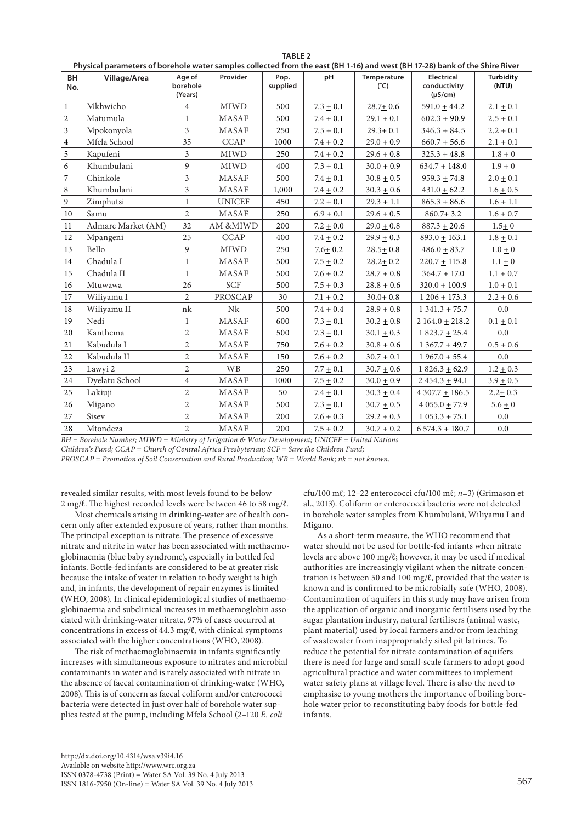| <b>TABLE 2</b><br>Physical parameters of borehole water samples collected from the east (BH 1-16) and west (BH 17-28) bank of the Shire River |                                               |                |               |                  |               |                              |                                                   |                    |  |  |  |
|-----------------------------------------------------------------------------------------------------------------------------------------------|-----------------------------------------------|----------------|---------------|------------------|---------------|------------------------------|---------------------------------------------------|--------------------|--|--|--|
| <b>BH</b><br>No.                                                                                                                              | Age of<br>Village/Area<br>borehole<br>(Years) |                | Provider      | Pop.<br>supplied | pH            | Temperature<br>$(^{\circ}C)$ | <b>Electrical</b><br>conductivity<br>$(\mu S/cm)$ | Turbidity<br>(NTU) |  |  |  |
| $\mathbf{1}$                                                                                                                                  | Mkhwicho                                      | 4              | <b>MIWD</b>   | 500              | $7.3 \pm 0.1$ | $28.7 + 0.6$                 | $591.0 \pm 44.2$                                  | $2.1 \pm 0.1$      |  |  |  |
| $\overline{2}$                                                                                                                                | Matumula                                      | $\mathbf{1}$   | <b>MASAF</b>  | 500              | $7.4 + 0.1$   | $29.1 \pm 0.1$               | $602.3 + 90.9$                                    | $2.5\pm0.1$        |  |  |  |
| 3                                                                                                                                             | Mpokonyola                                    | $\overline{3}$ | <b>MASAF</b>  | 250              | $7.5 \pm 0.1$ | $29.3 + 0.1$                 | $346.3 \pm 84.5$                                  | $2.2 \pm 0.1$      |  |  |  |
| $\overline{\mathbf{4}}$                                                                                                                       | Mfela School                                  | 35             | <b>CCAP</b>   | 1000             | $7.4 \pm 0.2$ | $29.0 \pm 0.9$               | $660.7 + 56.6$                                    | $2.1 \pm 0.1$      |  |  |  |
| $\sqrt{5}$                                                                                                                                    | Kapufeni                                      | 3              | <b>MIWD</b>   | 250              | $7.4 + 0.2$   | $29.6 + 0.8$                 | $325.3 + 48.8$                                    | $1.8 + 0$          |  |  |  |
| 6                                                                                                                                             | Khumbulani                                    | 9              | <b>MIWD</b>   | 400              | $7.3 \pm 0.1$ | $30.0 \pm 0.9$               | $634.7 \pm 148.0$                                 | $1.9 \pm 0$        |  |  |  |
| 7                                                                                                                                             | Chinkole                                      | 3              | <b>MASAF</b>  | 500              | $7.4 + 0.1$   | $30.8 \pm 0.5$               | $959.3 + 74.8$                                    | $2.0 + 0.1$        |  |  |  |
| 8                                                                                                                                             | Khumbulani                                    | 3              | <b>MASAF</b>  | 1,000            | $7.4 \pm 0.2$ | $30.3 \pm 0.6$               | $431.0 + 62.2$                                    | $1.6 \pm 0.5$      |  |  |  |
| 9                                                                                                                                             | Zimphutsi                                     | $\mathbf{1}$   | <b>UNICEF</b> | 450              | $7.2 + 0.1$   | $29.3 + 1.1$                 | $865.3 \pm 86.6$                                  | $1.6 + 1.1$        |  |  |  |
| 10                                                                                                                                            | Samu                                          | $\overline{2}$ | <b>MASAF</b>  | 250              | $6.9 \pm 0.1$ | $29.6 \pm 0.5$               | $860.7 \pm 3.2$                                   | $1.6 \pm 0.7$      |  |  |  |
| 11                                                                                                                                            | Admarc Market (AM)                            | 32             | AM &MIWD      | 200              | $7.2 + 0.0$   | $29.0 \pm 0.8$               | $887.3 + 20.6$                                    | $1.5 + 0$          |  |  |  |
| 12                                                                                                                                            | Mpangeni                                      | 25             | <b>CCAP</b>   | 400              | $7.4 + 0.2$   | $29.9 \pm 0.3$               | $893.0 + 163.1$                                   | $1.8 + 0.1$        |  |  |  |
| 13                                                                                                                                            | Bello                                         | 9              | <b>MIWD</b>   | 250              | $7.6 \pm 0.2$ | $28.5 \pm 0.8$               | $486.0 \pm 83.7$                                  | $1.0 \pm 0$        |  |  |  |
| 14                                                                                                                                            | Chadula I                                     | $\mathbf{1}$   | <b>MASAF</b>  | 500              | $7.5 + 0.2$   | $28.2 + 0.2$                 | $220.7 + 115.8$                                   | $1.1 + 0$          |  |  |  |
| 15                                                                                                                                            | Chadula II                                    | $\mathbf{1}$   | MASAF         | 500              | $7.6 \pm 0.2$ | $28.7 \pm 0.8$               | $364.7 \pm 17.0$                                  | $1.1 \pm 0.7$      |  |  |  |
| 16                                                                                                                                            | Mtuwawa                                       | 26             | <b>SCF</b>    | 500              | $7.5 \pm 0.3$ | $28.8 + 0.6$                 | $320.0 + 100.9$                                   | $1.0 \pm 0.1$      |  |  |  |
| 17                                                                                                                                            | Wiliyamu I                                    | $\overline{2}$ | PROSCAP       | 30               | $7.1 \pm 0.2$ | $30.0 + 0.8$                 | $1206 + 173.3$                                    | $2.2 \pm 0.6$      |  |  |  |
| 18                                                                                                                                            | Wiliyamu II                                   | nk             | Nk            | 500              | $7.4 \pm 0.4$ | $28.9 \pm 0.8$               | $1\,341.3 + 75.7$                                 | 0.0                |  |  |  |
| 19                                                                                                                                            | Nedi                                          | $\mathbf{1}$   | MASAF         | 600              | $7.3 \pm 0.1$ | $30.2 \pm 0.8$               | $2164.0 + 218.2$                                  | $0.1\pm0.1$        |  |  |  |
| 20                                                                                                                                            | Kanthema                                      | $\overline{2}$ | <b>MASAF</b>  | 500              | $7.3 \pm 0.1$ | $30.1 \pm 0.3$               | $1823.7 \pm 25.4$                                 | 0.0                |  |  |  |
| 21                                                                                                                                            | Kabudula I                                    | $\overline{2}$ | <b>MASAF</b>  | 750              | $7.6 \pm 0.2$ | $30.8 + 0.6$                 | $1367.7 + 49.7$                                   | $0.5 \pm 0.6$      |  |  |  |
| 22                                                                                                                                            | Kabudula II                                   | $\overline{2}$ | <b>MASAF</b>  | 150              | $7.6 \pm 0.2$ | $30.7 \pm 0.1$               | $1967.0 + 55.4$                                   | 0.0                |  |  |  |
| 23                                                                                                                                            | Lawyi 2                                       | $\overline{c}$ | <b>WB</b>     | 250              | $7.7 \pm 0.1$ | $30.7 \pm 0.6$               | $1826.3 \pm 62.9$                                 | $1.2 \pm 0.3$      |  |  |  |
| 24                                                                                                                                            | Dyelatu School                                | $\overline{4}$ | <b>MASAF</b>  | 1000             | $7.5 + 0.2$   | $30.0 + 0.9$                 | $2454.3 + 94.1$                                   | $3.9 \pm 0.5$      |  |  |  |
| 25                                                                                                                                            | Lakiuji                                       | $\overline{c}$ | <b>MASAF</b>  | 50               | $7.4 \pm 0.1$ | $30.3 \pm 0.4$               | $4307.7 \pm 186.5$                                | $2.2 \pm 0.3$      |  |  |  |
| 26                                                                                                                                            | Migano                                        | $\overline{2}$ | <b>MASAF</b>  | 500              | $7.3 + 0.1$   | $30.7 + 0.5$                 | $4055.0 + 77.9$                                   | $5.6 + 0$          |  |  |  |
| 27                                                                                                                                            | Sisev                                         | 2              | <b>MASAF</b>  | 200              | $7.6 \pm 0.3$ | $29.2 \pm 0.3$               | $1053.3 \pm 75.1$                                 | 0.0                |  |  |  |
| 28                                                                                                                                            | Mtondeza                                      | $\overline{c}$ | <b>MASAF</b>  | 200              | $7.5 \pm 0.2$ | $30.7 \pm 0.2$               | $6574.3 + 180.7$                                  | 0.0                |  |  |  |

*BH = Borehole Number; MIWD = Ministry of Irrigation & Water Development; UNICEF = United Nations* 

*Children's Fund; CCAP = Church of Central Africa Presbyterian; SCF = Save the Children Fund;* 

*PROSCAP = Promotion of Soil Conservation and Rural Production; WB = World Bank; nk = not known.*

revealed similar results, with most levels found to be below 2 mg/ℓ. The highest recorded levels were between 46 to 58 mg/ℓ.

Most chemicals arising in drinking-water are of health concern only after extended exposure of years, rather than months. The principal exception is nitrate. The presence of excessive nitrate and nitrite in water has been associated with methaemoglobinaemia (blue baby syndrome), especially in bottled fed infants. Bottle-fed infants are considered to be at greater risk because the intake of water in relation to body weight is high and, in infants, the development of repair enzymes is limited (WHO, 2008). In clinical epidemiological studies of methaemoglobinaemia and subclinical increases in methaemoglobin associated with drinking-water nitrate, 97% of cases occurred at concentrations in excess of 44.3 mg/ℓ, with clinical symptoms associated with the higher concentrations (WHO, 2008).

The risk of methaemoglobinaemia in infants significantly increases with simultaneous exposure to nitrates and microbial contaminants in water and is rarely associated with nitrate in the absence of faecal contamination of drinking-water (WHO, 2008). This is of concern as faecal coliform and/or enterococci bacteria were detected in just over half of borehole water supplies tested at the pump, including Mfela School (2–120 *E. coli*

cfu/100 mℓ; 12–22 enterococci cfu/100 mℓ; *n*=3) (Grimason et al., 2013). Coliform or enterococci bacteria were not detected in borehole water samples from Khumbulani, Wiliyamu I and Migano.

As a short-term measure, the WHO recommend that water should not be used for bottle-fed infants when nitrate levels are above 100 mg/ℓ; however, it may be used if medical authorities are increasingly vigilant when the nitrate concentration is between 50 and 100 mg/ℓ, provided that the water is known and is confirmed to be microbially safe (WHO, 2008). Contamination of aquifers in this study may have arisen from the application of organic and inorganic fertilisers used by the sugar plantation industry, natural fertilisers (animal waste, plant material) used by local farmers and/or from leaching of wastewater from inappropriately sited pit latrines. To reduce the potential for nitrate contamination of aquifers there is need for large and small-scale farmers to adopt good agricultural practice and water committees to implement water safety plans at village level. There is also the need to emphasise to young mothers the importance of boiling borehole water prior to reconstituting baby foods for bottle-fed infants.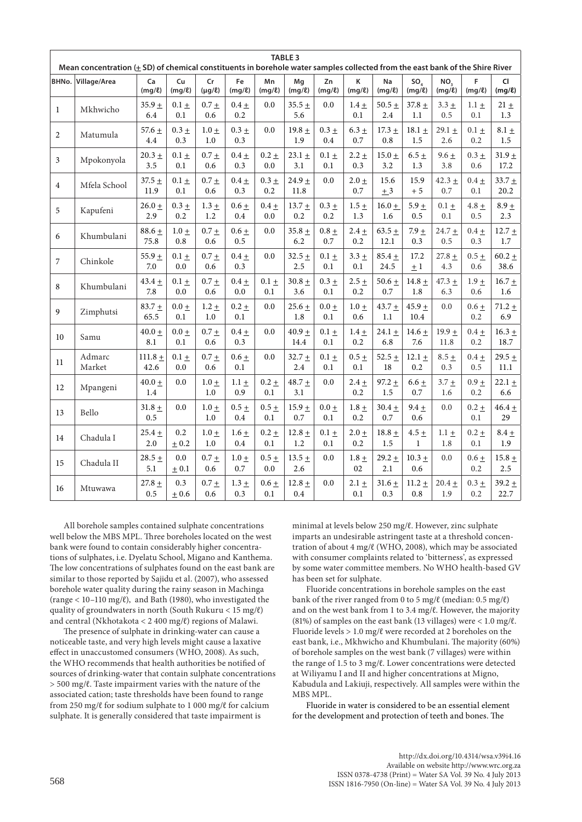| <b>TABLE 3</b><br>Mean concentration (± SD) of chemical constituents in borehole water samples collected from the east bank of the Shire River |                           |                        |                  |                         |                      |                  |                      |                     |                  |                     |                                |                                |                  |                          |
|------------------------------------------------------------------------------------------------------------------------------------------------|---------------------------|------------------------|------------------|-------------------------|----------------------|------------------|----------------------|---------------------|------------------|---------------------|--------------------------------|--------------------------------|------------------|--------------------------|
|                                                                                                                                                | <b>BHNo. Village/Area</b> | Ca<br>(mg/l)           | Cu<br>(mq/l)     | Cr<br>$(\mu g/\ell)$    | Fe<br>(mq/l)         | Mn<br>(mq/l)     | Mg<br>$(mg/\ell)$    | Zn<br>$(mq/\ell)$   | K<br>(mq/l)      | <b>Na</b><br>(mq/l) | SO <sub>a</sub><br>$(mg/\ell)$ | NO <sub>3</sub><br>$(mg/\ell)$ | F<br>(mq/l)      | <b>CI</b><br>$(mg/\ell)$ |
| $\mathbf{1}$                                                                                                                                   | Mkhwicho                  | 35.9 $\pm$<br>6.4      | $0.1 \pm$<br>0.1 | $0.7 \pm$<br>0.6        | $0.4 \pm$<br>0.2     | 0.0              | $35.5 \pm$<br>5.6    | 0.0                 | $1.4 \pm$<br>0.1 | 50.5 $\pm$<br>2.4   | $37.8 \pm$<br>1.1              | $3.3 \pm$<br>0.5               | $1.1 \pm$<br>0.1 | $21\pm$<br>1.3           |
| 2                                                                                                                                              | Matumula                  | 57.6 $\pm$<br>4.4      | $0.3 \pm$<br>0.3 | $1.0 \pm$<br>1.0        | $0.3 \pm$<br>0.3     | 0.0              | 19.8 $\pm$<br>1.9    | $0.3 \pm$<br>0.4    | $6.3 \pm$<br>0.7 | 17.3 $\pm$<br>0.8   | $18.1 \pm$<br>1.5              | 29.1 $\pm$<br>2.6              | $0.1 \pm$<br>0.2 | $8.1 \pm$<br>1.5         |
| 3                                                                                                                                              | Mpokonyola                | $20.3 \pm$<br>3.5      | $0.1 \pm$<br>0.1 | $0.7 \pm$<br>0.6        | $0.4 \pm$<br>0.3     | $0.2 \pm$<br>0.0 | $23.1 \pm$<br>3.1    | $0.1\,\pm\,$<br>0.1 | $2.2 \pm$<br>0.3 | 15.0 $\pm$<br>3.2   | $6.5 \pm$<br>1.3               | $9.6 \pm$<br>3.8               | $0.3 \pm$<br>0.6 | 31.9 $\pm$<br>17.2       |
| $\overline{4}$                                                                                                                                 | Mfela School              | $37.5 \pm$<br>$11.9\,$ | $0.1 \pm$<br>0.1 | $0.7 \pm$<br>0.6        | $0.4 \pm$<br>0.3     | $0.3 \pm$<br>0.2 | $24.9 \pm$<br>11.8   | $0.0\,$             | $2.0 \pm$<br>0.7 | 15.6<br>$\pm$ 3     | 15.9<br>$+5$                   | $42.3 \pm$<br>0.7              | $0.4 \pm$<br>0.1 | 33.7 $\pm$<br>20.2       |
| 5                                                                                                                                              | Kapufeni                  | $26.0 +$<br>2.9        | $0.3 \pm$<br>0.2 | $1.3 +$<br>1.2          | $0.6 \pm$<br>0.4     | $0.4 +$<br>0.0   | 13.7 $\pm$<br>0.2    | $0.3 \pm$<br>0.2    | $1.5 \pm$<br>1.3 | $16.0 +$<br>1.6     | 5.9 <sub>±</sub><br>0.5        | $0.1 +$<br>0.1                 | $4.8 +$<br>0.5   | $8.9 \pm$<br>2.3         |
| 6                                                                                                                                              | Khumbulani                | $88.6 \pm$<br>75.8     | $1.0 \pm$<br>0.8 | $0.7 +$<br>0.6          | $0.6 \pm$<br>0.5     | 0.0              | $35.8 +$<br>6.2      | $0.8 \pm$<br>0.7    | $2.4 +$<br>0.2   | 63.5 $\pm$<br>12.1  | $7.9 +$<br>0.3                 | $24.7 +$<br>0.5                | $0.4 +$<br>0.3   | $12.7 \pm$<br>1.7        |
| $\overline{7}$                                                                                                                                 | Chinkole                  | 55.9 $\pm$<br>7.0      | $0.1 \pm$<br>0.0 | $0.7 \pm$<br>0.6        | $0.4 \pm$<br>0.3     | 0.0              | $32.5 +$<br>2.5      | $0.1 \pm$<br>0.1    | $3.3 +$<br>0.1   | $85.4 +$<br>24.5    | 17.2<br>$\pm 1$                | $27.8 +$<br>4.3                | $0.5 +$<br>0.6   | $60.2 +$<br>38.6         |
| 8                                                                                                                                              | Khumbulani                | $43.4 \pm$<br>7.8      | $0.1 \pm$<br>0.0 | $0.7 \pm$<br>0.6        | $0.4 +$<br>0.0       | $0.1 \pm$<br>0.1 | $30.8 +$<br>3.6      | $0.3 \pm$<br>0.1    | $2.5 +$<br>0.2   | 50.6 $\pm$<br>0.7   | 14.8 $\pm$<br>1.8              | $47.3 +$<br>6.3                | $1.9 +$<br>0.6   | $16.7 \pm$<br>1.6        |
| 9                                                                                                                                              | Zimphutsi                 | 83.7 $\pm$<br>65.5     | $0.0 \pm$<br>0.1 | $1.2 +$<br>1.0          | $0.2 \pm$<br>0.1     | 0.0              | $25.6 \pm$<br>1.8    | $0.0 \pm$<br>0.1    | $1.0 \pm$<br>0.6 | $43.7 +$<br>1.1     | $45.9 +$<br>10.4               | 0.0                            | $0.6 \pm$<br>0.2 | $71.2 \pm$<br>6.9        |
| 10                                                                                                                                             | Samu                      | $40.0 +$<br>$8.1\,$    | $0.0 +$<br>0.1   | $0.7 +$<br>0.6          | $0.4 +$<br>0.3       | 0.0              | $40.9 +$<br>$14.4\,$ | $0.1 +$<br>0.1      | $1.4 +$<br>0.2   | $24.1 +$<br>6.8     | $14.6 +$<br>7.6                | $19.9 +$<br>11.8               | $0.4 +$<br>0.2   | $16.3 +$<br>18.7         |
| 11                                                                                                                                             | Admarc<br>Market          | $111.8 +$<br>42.6      | $0.1 +$<br>0.0   | 0.7 <sub>±</sub><br>0.6 | $0.6 \pm$<br>0.1     | 0.0              | $32.7 +$<br>2.4      | $0.1 \pm$<br>0.1    | $0.5 +$<br>0.1   | 52.5 $\pm$<br>18    | $12.1 \pm$<br>0.2              | $8.5 +$<br>0.3                 | $0.4 +$<br>0.5   | $29.5 \pm$<br>11.1       |
| 12                                                                                                                                             | Mpangeni                  | $40.0 \pm$<br>1.4      | 0.0              | $1.0 \pm$<br>$1.0\,$    | $1.1 \pm$<br>0.9     | $0.2 +$<br>0.1   | $48.7 +$<br>3.1      | 0.0                 | $2.4 +$<br>0.2   | 97.2 $\pm$<br>1.5   | $6.6 \pm$<br>0.7               | $3.7 +$<br>1.6                 | $0.9 +$<br>0.2   | $22.1 \pm$<br>6.6        |
| 13                                                                                                                                             | Bello                     | $31.8 +$<br>0.5        | 0.0              | $1.0 \pm$<br>1.0        | $0.5 \pm$<br>$0.4\,$ | $0.5 +$<br>0.1   | $15.9 +$<br>0.7      | $0.0 \pm$<br>0.1    | $1.8 \pm$<br>0.2 | $30.4 +$<br>0.7     | $9.4 \pm$<br>0.6               | 0.0                            | $0.2 +$<br>0.1   | $46.4 \pm$<br>29         |
| 14                                                                                                                                             | Chadula I                 | $25.4 +$<br>2.0        | 0.2<br>$\pm 0.2$ | $1.0 \pm$<br>1.0        | $1.6\,\pm$<br>0.4    | $0.2 +$<br>0.1   | 12.8 $\pm$<br>1.2    | $0.1 \pm$<br>0.1    | $2.0 +$<br>0.2   | 18.8 $\pm$<br>1.5   | $4.5 +$<br>$\mathbf{1}$        | $1.1 +$<br>1.8                 | $0.2 \pm$<br>0.1 | $8.4 \pm$<br>1.9         |
| 15                                                                                                                                             | Chadula II                | $28.5 \pm$<br>5.1      | 0.0<br>$\pm 0.1$ | $0.7 \pm$<br>0.6        | $1.0 \pm$<br>0.7     | $0.5 \pm$<br>0.0 | $13.5 \pm$<br>2.6    | 0.0                 | $1.8 \pm$<br>02  | $29.2 \pm$<br>2.1   | $10.3 \pm$<br>0.6              | 0.0                            | $0.6 \pm$<br>0.2 | 15.8 $\pm$<br>2.5        |
| 16                                                                                                                                             | Mtuwawa                   | 27.8 $\pm$<br>0.5      | 0.3<br>$\pm 0.6$ | $0.7 \pm$<br>0.6        | $1.3 +$<br>0.3       | $0.6 \pm$<br>0.1 | $12.8 +$<br>0.4      | 0.0                 | $2.1 +$<br>0.1   | $31.6 +$<br>0.3     | $11.2 \pm$<br>0.8              | $20.4 \pm$<br>1.9              | $0.3 +$<br>0.2   | $39.2 \pm$<br>22.7       |

All borehole samples contained sulphate concentrations well below the MBS MPL. Three boreholes located on the west bank were found to contain considerably higher concentrations of sulphates, i.e. Dyelatu School, Migano and Kanthema. The low concentrations of sulphates found on the east bank are similar to those reported by Sajidu et al. (2007), who assessed borehole water quality during the rainy season in Machinga (range  $< 10-110$  mg/ $\ell$ ), and Bath (1980), who investigated the quality of groundwaters in north (South Rukuru < 15 mg/ℓ) and central (Nkhotakota < 2 400 mg/ℓ) regions of Malawi.

The presence of sulphate in drinking-water can cause a noticeable taste, and very high levels might cause a laxative effect in unaccustomed consumers (WHO, 2008). As such, the WHO recommends that health authorities be notified of sources of drinking-water that contain sulphate concentrations > 500 mg/ℓ. Taste impairment varies with the nature of the associated cation; taste thresholds have been found to range from 250 mg/ℓ for sodium sulphate to 1 000 mg/ℓ for calcium sulphate. It is generally considered that taste impairment is

minimal at levels below 250 mg/ℓ. However, zinc sulphate imparts an undesirable astringent taste at a threshold concentration of about 4 mg/ℓ (WHO, 2008), which may be associated with consumer complaints related to 'bitterness', as expressed by some water committee members. No WHO health-based GV has been set for sulphate.

Fluoride concentrations in borehole samples on the east bank of the river ranged from 0 to 5 mg/ℓ (median: 0.5 mg/ℓ) and on the west bank from 1 to 3.4 mg/ℓ. However, the majority (81%) of samples on the east bank (13 villages) were  $< 1.0$  mg/ $\ell$ . Fluoride levels > 1.0 mg/ℓ were recorded at 2 boreholes on the east bank, i.e., Mkhwicho and Khumbulani. The majority (60%) of borehole samples on the west bank (7 villages) were within the range of 1.5 to 3 mg/ℓ. Lower concentrations were detected at Wiliyamu I and II and higher concentrations at Migno, Kabudula and Lakiuji, respectively. All samples were within the MBS MPL.

Fluoride in water is considered to be an essential element for the development and protection of teeth and bones. The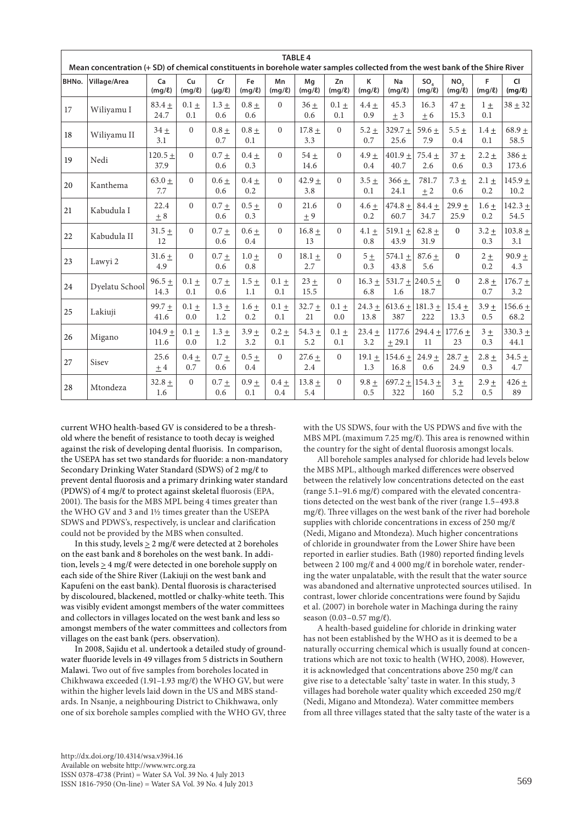| <b>TABLE 4</b><br>Mean concentration (+ SD) of chemical constituents in borehole water samples collected from the west bank of the Shire River |                |                    |                |                      |                  |                   |                   |                |                  |                     |                                                          |                           |                |                          |
|------------------------------------------------------------------------------------------------------------------------------------------------|----------------|--------------------|----------------|----------------------|------------------|-------------------|-------------------|----------------|------------------|---------------------|----------------------------------------------------------|---------------------------|----------------|--------------------------|
| BHNo.                                                                                                                                          | Village/Area   | Ca<br>(mq/l)       | Cu<br>(mq/l)   | Cr<br>$(\mu q/\ell)$ | Fe<br>(mq/l)     | Mn<br>$(mq/\ell)$ | Mq<br>$(mq/\ell)$ | Zn<br>(mq/l)   | K<br>$(mq/\ell)$ | Na<br>(mq/l)        | SO <sub>A</sub><br>$(mq/\ell)$                           | NO <sub>3</sub><br>(mq/l) | F<br>(mq/l)    | <b>CI</b><br>$(mq/\ell)$ |
| 17                                                                                                                                             | Wiliyamu I     | $83.4 +$<br>24.7   | $0.1 +$<br>0.1 | $1.3 +$<br>0.6       | $0.8 +$<br>0.6   | $\theta$          | $36 +$<br>0.6     | $0.1 +$<br>0.1 | $4.4 +$<br>0.9   | 45.3<br>$+3$        | 16.3<br>± 6                                              | $47+$<br>15.3             | $1+$<br>0.1    | $38 + 32$                |
| 18                                                                                                                                             | Wiliyamu II    | $34 +$<br>3.1      | $\Omega$       | $0.8 +$<br>0.7       | $0.8 +$<br>0.1   | $\theta$          | $17.8 +$<br>3.3   | $\overline{0}$ | $5.2 +$<br>0.7   | $329.7 +$<br>25.6   | $59.6 +$<br>7.9                                          | $5.5+$<br>0.4             | $1.4 +$<br>0.1 | $68.9 \pm$<br>58.5       |
| 19                                                                                                                                             | Nedi           | $120.5 +$<br>37.9  | $\Omega$       | $0.7 +$<br>0.6       | $0.4 +$<br>0.3   | $\theta$          | $54 +$<br>14.6    | $\overline{0}$ | $4.9 \pm$<br>0.4 | $401.9 +$<br>40.7   | $75.4 \pm$<br>2.6                                        | $37 +$<br>0.6             | $2.2 +$<br>0.3 | $386 \pm$<br>173.6       |
| 20                                                                                                                                             | Kanthema       | $63.0 +$<br>7.7    | $\Omega$       | $0.6 +$<br>0.6       | $0.4 +$<br>0.2   | $\theta$          | $42.9 \pm$<br>3.8 | $\Omega$       | $3.5 +$<br>0.1   | $366 +$<br>24.1     | $781.7\,$<br>$\pm 2$                                     | $7.3 +$<br>0.6            | $2.1 +$<br>0.2 | $145.9 \pm$<br>10.2      |
| 21                                                                                                                                             | Kabudula I     | 22.4<br>$\pm 8$    | $\Omega$       | $0.7 +$<br>0.6       | $0.5 +$<br>0.3   | $\theta$          | 21.6<br>± 9       | $\overline{0}$ | $4.6 +$<br>0.2   | $474.8 +$<br>60.7   | $84.4 +$<br>34.7                                         | $29.9 +$<br>25.9          | $1.6 +$<br>0.2 | $142.3 +$<br>54.5        |
| 22                                                                                                                                             | Kabudula II    | $31.5 \pm$<br>12   | $\Omega$       | $0.7 +$<br>0.6       | $0.6 +$<br>0.4   | $\theta$          | $16.8 +$<br>13    | $\Omega$       | $4.1 +$<br>0.8   | 519.1 $\pm$<br>43.9 | $62.8 +$<br>31.9                                         | $\theta$                  | $3.2 +$<br>0.3 | $103.8 +$<br>3.1         |
| 23                                                                                                                                             | Lawyi 2        | $31.6 +$<br>4.9    | $\Omega$       | $0.7 +$<br>0.6       | $1.0 \pm$<br>0.8 | $\theta$          | $18.1 +$<br>2.7   | $\Omega$       | $5+$<br>0.3      | $574.1 +$<br>43.8   | $87.6 \pm$<br>5.6                                        | $\Omega$                  | $2+$<br>0.2    | $90.9 \pm$<br>4.3        |
| 24                                                                                                                                             | Dyelatu School | $96.5 \pm$<br>14.3 | $0.1 +$<br>0.1 | $0.7 +$<br>0.6       | $1.5 +$<br>1.1   | $0.1 +$<br>0.1    | $23 +$<br>15.5    | $\overline{0}$ | $16.3 +$<br>6.8  | 1.6                 | 531.7 $\pm$ 240.5 $\pm$<br>18.7                          | $\Omega$                  | $2.8 +$<br>0.7 | $176.7 +$<br>3.2         |
| 25                                                                                                                                             | Lakiuji        | $99.7 +$<br>41.6   | $0.1 +$<br>0.0 | $1.3 +$<br>1.2       | $1.6 +$<br>0.2   | $0.1 +$<br>0.1    | $32.7 +$<br>21    | $0.1 +$<br>0.0 | $24.3 +$<br>13.8 | 387                 | $613.6 + 181.3 +$<br>222                                 | $15.4 +$<br>13.3          | $3.9 +$<br>0.5 | $156.6 +$<br>68.2        |
| 26                                                                                                                                             | Migano         | $104.9 +$<br>11.6  | $0.1 +$<br>0.0 | $1.3 +$<br>1.2       | $3.9 +$<br>3.2   | $0.2 +$<br>0.1    | $54.3 +$<br>5.2   | $0.1 +$<br>0.1 | $23.4 +$<br>3.2  | $+29.1$             | 1177.6 $\left  294.4 \pm \right  177.6 \pm \right$<br>11 | 23                        | $3+$<br>0.3    | 330.3 $\pm$<br>44.1      |
| 27                                                                                                                                             | Sisev          | 25.6<br>$+4$       | $0.4 +$<br>0.7 | $0.7 +$<br>0.6       | $0.5 +$<br>0.4   | $\overline{0}$    | $27.6 +$<br>2.4   | $\overline{0}$ | $19.1 +$<br>1.3  | $154.6 +$<br>16.8   | $24.9 +$<br>0.6                                          | $28.7 +$<br>24.9          | $2.8 +$<br>0.3 | $34.5 \pm$<br>4.7        |
| 28                                                                                                                                             | Mtondeza       | $32.8 +$<br>1.6    | $\Omega$       | $0.7 +$<br>0.6       | $0.9 +$<br>0.1   | $0.4 +$<br>0.4    | $13.8 +$<br>5.4   | $\Omega$       | $9.8 +$<br>0.5   | 322                 | $697.2 + 154.3 +$<br>160                                 | $3\pm$<br>5.2             | $2.9 +$<br>0.5 | $426 +$<br>89            |

current WHO health-based GV is considered to be a threshold where the benefit of resistance to tooth decay is weighed against the risk of developing dental fluorisis. In comparison, the USEPA has set two standards for fluoride: a non-mandatory Secondary Drinking Water Standard (SDWS) of 2 mg/ℓ to prevent dental fluorosis and a primary drinking water standard (PDWS) of 4 mg/ℓ to protect against skeletal fluorosis (EPA, 2001). The basis for the MBS MPL being 4 times greater than the WHO GV and 3 and 1½ times greater than the USEPA SDWS and PDWS's, respectively, is unclear and clarification could not be provided by the MBS when consulted.

In this study, levels  $\geq 2$  mg/ $\ell$  were detected at 2 boreholes on the east bank and 8 boreholes on the west bank. In addition, levels > 4 mg/ℓ were detected in one borehole supply on each side of the Shire River (Lakiuji on the west bank and Kapufeni on the east bank). Dental fluorosis is characterised by discoloured, blackened, mottled or chalky-white teeth. This was visibly evident amongst members of the water committees and collectors in villages located on the west bank and less so amongst members of the water committees and collectors from villages on the east bank (pers. observation).

In 2008, Sajidu et al. undertook a detailed study of groundwater fluoride levels in 49 villages from 5 districts in Southern Malawi. Two out of five samples from boreholes located in Chikhwawa exceeded (1.91–1.93 mg/ℓ) the WHO GV, but were within the higher levels laid down in the US and MBS standards. In Nsanje, a neighbouring District to Chikhwawa, only one of six borehole samples complied with the WHO GV, three

tions detected on the west bank of the river (range 1.5–493.8 mg/ℓ). Three villages on the west bank of the river had borehole supplies with chloride concentrations in excess of 250 mg/ $\ell$ (Nedi, Migano and Mtondeza). Much higher concentrations

of chloride in groundwater from the Lower Shire have been reported in earlier studies. Bath (1980) reported finding levels between 2 100 mg/ℓ and 4 000 mg/ℓ in borehole water, rendering the water unpalatable, with the result that the water source was abandoned and alternative unprotected sources utilised. In contrast, lower chloride concentrations were found by Sajidu et al. (2007) in borehole water in Machinga during the rainy season (0.03–0.57 mg/ℓ).

with the US SDWS, four with the US PDWS and five with the MBS MPL (maximum 7.25 mg/ℓ). This area is renowned within the country for the sight of dental fluorosis amongst locals. All borehole samples analysed for chloride had levels below the MBS MPL, although marked differences were observed between the relatively low concentrations detected on the east (range 5.1–91.6 mg/ℓ) compared with the elevated concentra-

A health-based guideline for chloride in drinking water has not been established by the WHO as it is deemed to be a naturally occurring chemical which is usually found at concentrations which are not toxic to health (WHO, 2008). However, it is acknowledged that concentrations above 250 mg/ℓ can give rise to a detectable 'salty' taste in water. In this study, 3 villages had borehole water quality which exceeded 250 mg/ℓ (Nedi, Migano and Mtondeza). Water committee members from all three villages stated that the salty taste of the water is a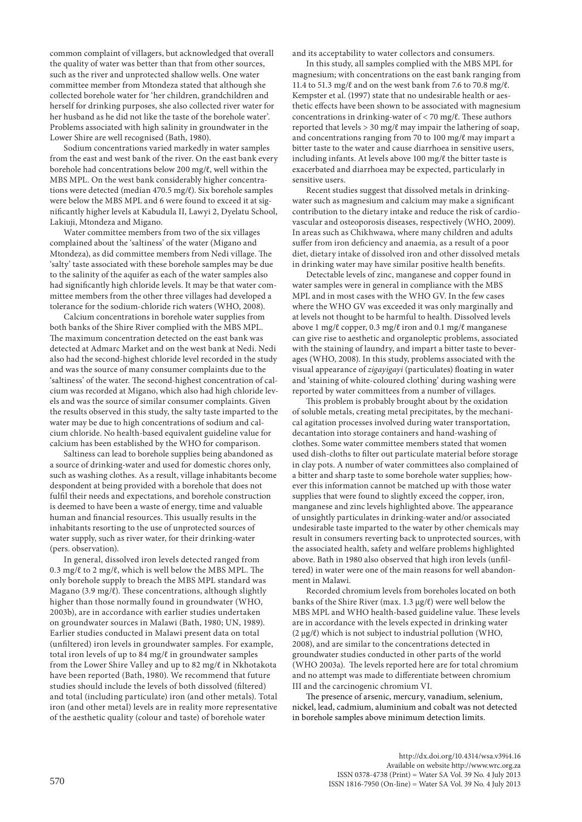common complaint of villagers, but acknowledged that overall the quality of water was better than that from other sources, such as the river and unprotected shallow wells. One water committee member from Mtondeza stated that although she collected borehole water for 'her children, grandchildren and herself for drinking purposes, she also collected river water for her husband as he did not like the taste of the borehole water'. Problems associated with high salinity in groundwater in the Lower Shire are well recognised (Bath, 1980).

Sodium concentrations varied markedly in water samples from the east and west bank of the river. On the east bank every borehole had concentrations below 200 mg/ℓ, well within the MBS MPL. On the west bank considerably higher concentrations were detected (median 470.5 mg/ℓ). Six borehole samples were below the MBS MPL and 6 were found to exceed it at significantly higher levels at Kabudula II, Lawyi 2, Dyelatu School, Lakiuji, Mtondeza and Migano.

Water committee members from two of the six villages complained about the 'saltiness' of the water (Migano and Mtondeza), as did committee members from Nedi village. The 'salty' taste associated with these borehole samples may be due to the salinity of the aquifer as each of the water samples also had significantly high chloride levels. It may be that water committee members from the other three villages had developed a tolerance for the sodium-chloride rich waters (WHO, 2008).

Calcium concentrations in borehole water supplies from both banks of the Shire River complied with the MBS MPL. The maximum concentration detected on the east bank was detected at Admarc Market and on the west bank at Nedi. Nedi also had the second-highest chloride level recorded in the study and was the source of many consumer complaints due to the 'saltiness' of the water. The second-highest concentration of calcium was recorded at Migano, which also had high chloride levels and was the source of similar consumer complaints. Given the results observed in this study, the salty taste imparted to the water may be due to high concentrations of sodium and calcium chloride. No health-based equivalent guideline value for calcium has been established by the WHO for comparison.

Saltiness can lead to borehole supplies being abandoned as a source of drinking-water and used for domestic chores only, such as washing clothes. As a result, village inhabitants become despondent at being provided with a borehole that does not fulfil their needs and expectations, and borehole construction is deemed to have been a waste of energy, time and valuable human and financial resources. This usually results in the inhabitants resorting to the use of unprotected sources of water supply, such as river water, for their drinking-water (pers. observation).

In general, dissolved iron levels detected ranged from 0.3 mg/ℓ to 2 mg/ℓ, which is well below the MBS MPL. The only borehole supply to breach the MBS MPL standard was Magano (3.9 mg/ℓ). These concentrations, although slightly higher than those normally found in groundwater (WHO, 2003b), are in accordance with earlier studies undertaken on groundwater sources in Malawi (Bath, 1980; UN, 1989). Earlier studies conducted in Malawi present data on total (unfiltered) iron levels in groundwater samples. For example, total iron levels of up to 84 mg/ℓ in groundwater samples from the Lower Shire Valley and up to 82 mg/ℓ in Nkhotakota have been reported (Bath, 1980). We recommend that future studies should include the levels of both dissolved (filtered) and total (including particulate) iron (and other metals). Total iron (and other metal) levels are in reality more representative of the aesthetic quality (colour and taste) of borehole water

and its acceptability to water collectors and consumers.

In this study, all samples complied with the MBS MPL for magnesium; with concentrations on the east bank ranging from 11.4 to 51.3 mg/ℓ and on the west bank from 7.6 to 70.8 mg/ℓ. Kempster et al. (1997) state that no undesirable health or aesthetic effects have been shown to be associated with magnesium concentrations in drinking-water of < 70 mg/ℓ. These authors reported that levels  $> 30$  mg/ $\ell$  may impair the lathering of soap, and concentrations ranging from 70 to 100 mg/ℓ may impart a bitter taste to the water and cause diarrhoea in sensitive users, including infants. At levels above 100 mg/ℓ the bitter taste is exacerbated and diarrhoea may be expected, particularly in sensitive users.

Recent studies suggest that dissolved metals in drinkingwater such as magnesium and calcium may make a significant contribution to the dietary intake and reduce the risk of cardiovascular and osteoporosis diseases, respectively (WHO, 2009). In areas such as Chikhwawa, where many children and adults suffer from iron deficiency and anaemia, as a result of a poor diet, dietary intake of dissolved iron and other dissolved metals in drinking water may have similar positive health benefits.

Detectable levels of zinc, manganese and copper found in water samples were in general in compliance with the MBS MPL and in most cases with the WHO GV. In the few cases where the WHO GV was exceeded it was only marginally and at levels not thought to be harmful to health. Dissolved levels above 1 mg/ℓ copper, 0.3 mg/ℓ iron and 0.1 mg/ℓ manganese can give rise to aesthetic and organoleptic problems, associated with the staining of laundry, and impart a bitter taste to beverages (WHO, 2008). In this study, problems associated with the visual appearance of *zigayigayi* (particulates) floating in water and 'staining of white-coloured clothing' during washing were reported by water committees from a number of villages.

This problem is probably brought about by the oxidation of soluble metals, creating metal precipitates, by the mechanical agitation processes involved during water transportation, decantation into storage containers and hand-washing of clothes. Some water committee members stated that women used dish-cloths to filter out particulate material before storage in clay pots. A number of water committees also complained of a bitter and sharp taste to some borehole water supplies; however this information cannot be matched up with those water supplies that were found to slightly exceed the copper, iron, manganese and zinc levels highlighted above. The appearance of unsightly particulates in drinking-water and/or associated undesirable taste imparted to the water by other chemicals may result in consumers reverting back to unprotected sources, with the associated health, safety and welfare problems highlighted above. Bath in 1980 also observed that high iron levels (unfiltered) in water were one of the main reasons for well abandonment in Malawi.

Recorded chromium levels from boreholes located on both banks of the Shire River (max. 1.3 µg/ℓ) were well below the MBS MPL and WHO health-based guideline value. These levels are in accordance with the levels expected in drinking water (2 µg/ℓ) which is not subject to industrial pollution (WHO, 2008), and are similar to the concentrations detected in groundwater studies conducted in other parts of the world (WHO 2003a). The levels reported here are for total chromium and no attempt was made to differentiate between chromium III and the carcinogenic chromium VI.

The presence of arsenic, mercury, vanadium, selenium, nickel, lead, cadmium, aluminium and cobalt was not detected in borehole samples above minimum detection limits.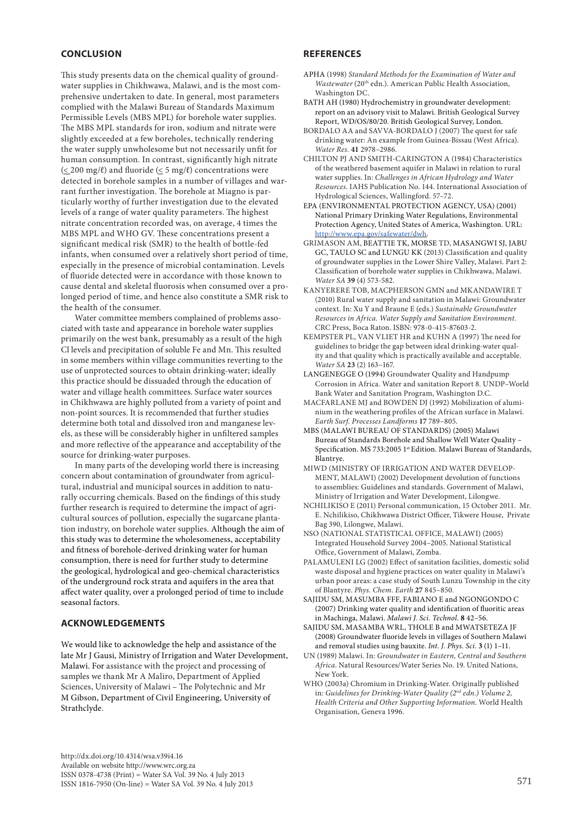# **CONCLUSION**

This study presents data on the chemical quality of groundwater supplies in Chikhwawa, Malawi, and is the most comprehensive undertaken to date. In general, most parameters complied with the Malawi Bureau of Standards Maximum Permissible Levels (MBS MPL) for borehole water supplies. The MBS MPL standards for iron, sodium and nitrate were slightly exceeded at a few boreholes, technically rendering the water supply unwholesome but not necessarily unfit for human consumption. In contrast, significantly high nitrate  $(\leq 200 \text{ mg}/\ell)$  and fluoride  $(\leq 5 \text{ mg}/\ell)$  concentrations were detected in borehole samples in a number of villages and warrant further investigation. The borehole at Miagno is particularly worthy of further investigation due to the elevated levels of a range of water quality parameters. The highest nitrate concentration recorded was, on average, 4 times the MBS MPL and WHO GV. These concentrations present a significant medical risk (SMR) to the health of bottle-fed infants, when consumed over a relatively short period of time, especially in the presence of microbial contamination. Levels of fluoride detected were in accordance with those known to cause dental and skeletal fluorosis when consumed over a prolonged period of time, and hence also constitute a SMR risk to the health of the consumer.

Water committee members complained of problems associated with taste and appearance in borehole water supplies primarily on the west bank, presumably as a result of the high Cl levels and precipitation of soluble Fe and Mn. This resulted in some members within village communities reverting to the use of unprotected sources to obtain drinking-water; ideally this practice should be dissuaded through the education of water and village health committees. Surface water sources in Chikhwawa are highly polluted from a variety of point and non-point sources. It is recommended that further studies determine both total and dissolved iron and manganese levels, as these will be considerably higher in unfiltered samples and more reflective of the appearance and acceptability of the source for drinking-water purposes.

In many parts of the developing world there is increasing concern about contamination of groundwater from agricultural, industrial and municipal sources in addition to naturally occurring chemicals. Based on the findings of this study further research is required to determine the impact of agricultural sources of pollution, especially the sugarcane plantation industry, on borehole water supplies. Although the aim of this study was to determine the wholesomeness, acceptability and fitness of borehole-derived drinking water for human consumption, there is need for further study to determine the geological, hydrological and geo-chemical characteristics of the underground rock strata and aquifers in the area that affect water quality, over a prolonged period of time to include seasonal factors.

# **ACKNOWLEDGEMENTS**

We would like to acknowledge the help and assistance of the late Mr J Gausi, Ministry of Irrigation and Water Development, Malawi. For assistance with the project and processing of samples we thank Mr A Maliro, Department of Applied Sciences, University of Malawi – The Polytechnic and Mr M Gibson, Department of Civil Engineering, University of Strathclyde.

#### **REFERENCES**

- APHA (1998) *Standard Methods for the Examination of Water and Wastewater* (20<sup>th</sup> edn.). American Public Health Association, Washington DC.
- BATH AH (1980) Hydrochemistry in groundwater development: report on an advisory visit to Malawi. British Geological Survey Report, WD/OS/80/20. British Geological Survey, London.
- BORDALO AA and SAVVA-BORDALO J (2007) The quest for safe drinking water: An example from Guinea-Bissau (West Africa). *Water Res.* **41** 2978–2986.
- CHILTON PJ AND SMITH-CARINGTON A (1984) Characteristics of the weathered basement aquifer in Malawi in relation to rural water supplies. In: *Challenges in African Hydrology and Water Resources*. IAHS Publication No. 144. International Association of Hydrological Sciences, Wallingford. 57–72.
- EPA (ENVIRONMENTAL PROTECTION AGENCY, USA) (2001) National Primary Drinking Water Regulations, Environmental Protection Agency, United States of America, Washington. URL: [http://www.epa.gov/safewater/dwh.](http://www.epa.gov/safewater/dwh)
- GRIMASON AM, BEATTIE TK, MORSE TD, MASANGWI SJ, JABU GC, TAULO SC and LUNGU KK (2013) Classification and quality of groundwater supplies in the Lower Shire Valley, Malawi. Part 2: Classification of borehole water supplies in Chikhwawa, Malawi. *Water SA* **39** (4) 573-582.
- KANYERERE TOB, MACPHERSON GMN and MKANDAWIRE T (2010) Rural water supply and sanitation in Malawi: Groundwater context. In: Xu Y and Braune E (eds.) *Sustainable Groundwater Resources in Africa. Water Supply and Sanitation Environment*. CRC Press, Boca Raton. ISBN: 978-0-415-87603-2.
- KEMPSTER PL, VAN VLIET HR and KUHN A (1997) The need for guidelines to bridge the gap between ideal drinking-water quality and that quality which is practically available and acceptable. *Water SA* **23** (2) 163–167.
- LANGENEGGE O (1994) Groundwater Quality and Handpump Corrosion in Africa. Water and sanitation Report 8. UNDP–World Bank Water and Sanitation Program, Washington D.C.
- MACFARLANE MJ and BOWDEN DJ (1992) Mobilization of aluminium in the weathering profiles of the African surface in Malawi. *Earth Surf. Processes Landforms* **17** 789–805.
- MBS (MALAWI BUREAU OF STANDARDS) (2005) Malawi Bureau of Standards Borehole and Shallow Well Water Quality – Specification. MS 733:2005 1<sup>st</sup> Edition. Malawi Bureau of Standards, Blantrye.
- MIWD (MINISTRY OF IRRIGATION AND WATER DEVELOP-MENT, MALAWI) (2002) Development devolution of functions to assemblies: Guidelines and standards. Government of Malawi, Ministry of Irrigation and Water Development, Lilongwe.
- NCHILIKISO E (2011) Personal communication, 15 October 2011. Mr. E. Nchilikiso, Chikhwawa District Officer, Tikwere House, Private Bag 390, Lilongwe, Malawi.
- NSO (NATIONAL STATISTICAL OFFICE, MALAWI) (2005) Integrated Household Survey 2004–2005. National Statistical Office, Government of Malawi, Zomba.
- PALAMULENI LG (2002) Effect of sanitation facilities, domestic solid waste disposal and hygiene practices on water quality in Malawi's urban poor areas: a case study of South Lunzu Township in the city of Blantyre. *Phys. Chem. Earth* **27** 845–850.
- SAJIDU SM, MASUMBA FFF, FABIANO E and NGONGONDO C (2007) Drinking water quality and identification of fluoritic areas in Machinga, Malawi. *Malawi J. Sci. Technol.* **8** 42–56.
- SAJIDU SM, MASAMBA WRL, THOLE B and MWATSETEZA JF (2008) Groundwater fluoride levels in villages of Southern Malawi and removal studies using bauxite. *Int. J. Phys. Sci.* **3** (1) 1–11.
- UN (1989) Malawi. In: *Groundwater in Eastern, Central and Southern Africa*. Natural Resources/Water Series No. 19. United Nations, New York.
- WHO (2003a) Chromium in Drinking-Water. Originally published in: *Guidelines for Drinking-Water Quality (2nd edn.) Volume 2, Health Criteria and Other Supporting Information*. World Health Organisation, Geneva 1996.